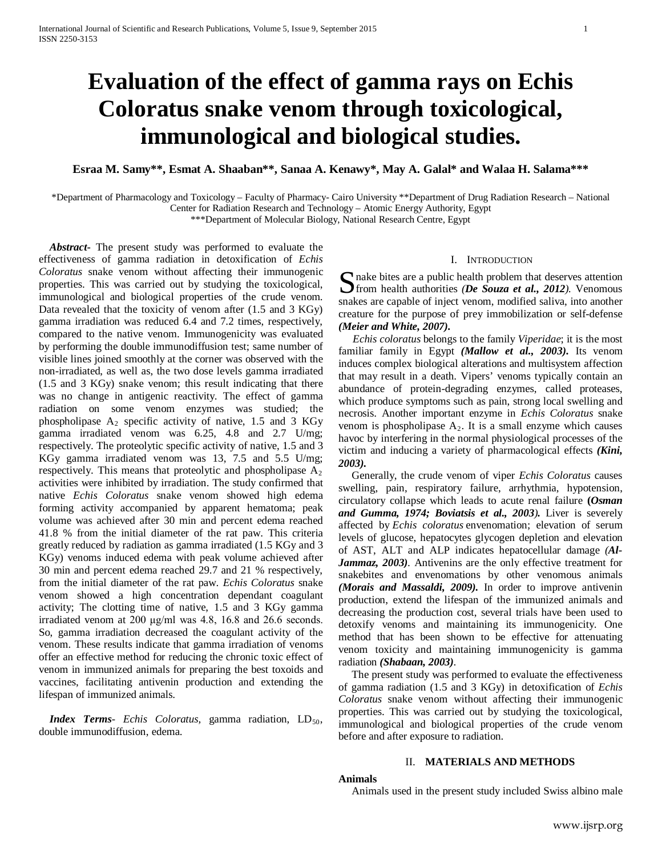# **Evaluation of the effect of gamma rays on Echis Coloratus snake venom through toxicological, immunological and biological studies.**

**Esraa M. Samy\*\*, Esmat A. Shaaban\*\*, Sanaa A. Kenawy\*, May A. Galal\* and Walaa H. Salama\*\*\***

\*Department of Pharmacology and Toxicology – Faculty of Pharmacy- Cairo University \*\*Department of Drug Radiation Research – National Center for Radiation Research and Technology – Atomic Energy Authority, Egypt

\*\*\*Department of Molecular Biology, National Research Centre, Egypt

 *Abstract***-** The present study was performed to evaluate the effectiveness of gamma radiation in detoxification of *Echis Coloratus* snake venom without affecting their immunogenic properties. This was carried out by studying the toxicological, immunological and biological properties of the crude venom. Data revealed that the toxicity of venom after (1.5 and 3 KGy) gamma irradiation was reduced 6.4 and 7.2 times, respectively, compared to the native venom. Immunogenicity was evaluated by performing the double immunodiffusion test; same number of visible lines joined smoothly at the corner was observed with the non-irradiated, as well as, the two dose levels gamma irradiated (1.5 and 3 KGy) snake venom; this result indicating that there was no change in antigenic reactivity. The effect of gamma radiation on some venom enzymes was studied; the phospholipase  $A_2$  specific activity of native, 1.5 and 3 KGy gamma irradiated venom was 6.25, 4.8 and 2.7 U/mg; respectively. The proteolytic specific activity of native, 1.5 and 3 KGy gamma irradiated venom was 13, 7.5 and 5.5 U/mg; respectively. This means that proteolytic and phospholipase  $A_2$ activities were inhibited by irradiation. The study confirmed that native *Echis Coloratus* snake venom showed high edema forming activity accompanied by apparent hematoma; peak volume was achieved after 30 min and percent edema reached 41.8 % from the initial diameter of the rat paw. This criteria greatly reduced by radiation as gamma irradiated (1.5 KGy and 3 KGy) venoms induced edema with peak volume achieved after 30 min and percent edema reached 29.7 and 21 % respectively, from the initial diameter of the rat paw. *Echis Coloratus* snake venom showed a high concentration dependant coagulant activity; The clotting time of native, 1.5 and 3 KGy gamma irradiated venom at 200 μg/ml was 4.8, 16.8 and 26.6 seconds. So, gamma irradiation decreased the coagulant activity of the venom. These results indicate that gamma irradiation of venoms offer an effective method for reducing the chronic toxic effect of venom in immunized animals for preparing the best toxoids and vaccines, facilitating antivenin production and extending the lifespan of immunized animals.

*Index Terms- Echis Coloratus,* gamma radiation, LD<sub>50</sub>, double immunodiffusion, edema.

#### I. INTRODUCTION

nake bites are a public health problem that deserves attention **S** nake bites are a public health problem that deserves attention from health authorities *(De Souza et al., 2012)*. Venomous snakes are capable of inject venom, modified saliva, into another creature for the purpose of prey immobilization or self-defense *(Meier and White, 2007).*

 *Echis coloratus* belongs to the family *Viperidae*; it is the most familiar family in Egypt *(Mallow et al., 2003).* Its venom induces complex biological alterations and multisystem affection that may result in a death. Vipers' venoms typically contain an abundance of protein-degrading enzymes, called proteases, which produce symptoms such as pain, strong local swelling and necrosis. Another important enzyme in *Echis Coloratus* snake venom is phospholipase  $A_2$ . It is a small enzyme which causes havoc by interfering in the normal physiological processes of the victim and inducing a variety of pharmacological effects *(Kini, 2003).*

 Generally, the crude venom of viper *Echis Coloratus* causes swelling, pain, respiratory failure, arrhythmia, hypotension, circulatory collapse which leads to acute renal failure **(***Osman and Gumma, 1974; Boviatsis et al., 2003).* Liver is severely affected by *Echis coloratus* envenomation; elevation of serum levels of glucose, hepatocytes glycogen depletion and elevation of AST, ALT and ALP indicates hepatocellular damage *([Al-](http://www.sciencedirect.com/science/article/pii/S1319562X10001257#b0010)[Jammaz,](http://www.sciencedirect.com/science/article/pii/S1319562X10001257#b0010) 2003).* Antivenins are the only effective treatment for snakebites and envenomations by other venomous animals *(Morais and Massaldi, 2009).* In order to improve antivenin production, extend the lifespan of the immunized animals and decreasing the production cost, several trials have been used to detoxify venoms and maintaining its immunogenicity. One method that has been shown to be effective for attenuating venom toxicity and maintaining immunogenicity is gamma radiation *(Shabaan, 2003).*

 The present study was performed to evaluate the effectiveness of gamma radiation (1.5 and 3 KGy) in detoxification of *Echis Coloratus* snake venom without affecting their immunogenic properties. This was carried out by studying the toxicological, immunological and biological properties of the crude venom before and after exposure to radiation.

## II. **MATERIALS AND METHODS**

#### **Animals**

Animals used in the present study included Swiss albino male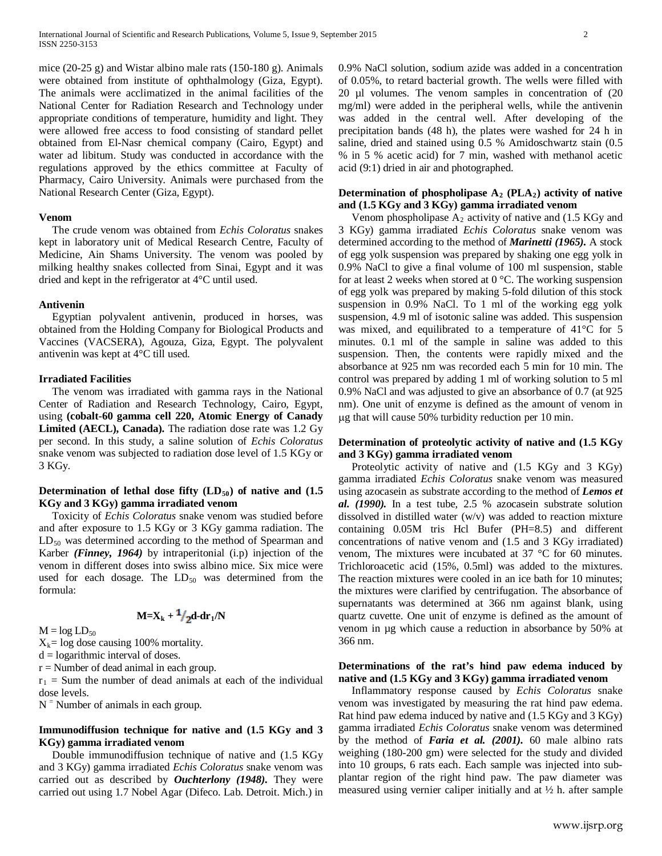mice (20-25 g) and Wistar albino male rats (150-180 g). Animals were obtained from institute of ophthalmology (Giza, Egypt). The animals were acclimatized in the animal facilities of the National Center for Radiation Research and Technology under appropriate conditions of temperature, humidity and light. They were allowed free access to food consisting of standard pellet obtained from El-Nasr chemical company (Cairo, Egypt) and water ad libitum. Study was conducted in accordance with the regulations approved by the ethics committee at Faculty of Pharmacy, Cairo University. Animals were purchased from the National Research Center (Giza, Egypt).

#### **Venom**

 The crude venom was obtained from *Echis Coloratus* snakes kept in laboratory unit of Medical Research Centre, Faculty of Medicine, Ain Shams University. The venom was pooled by milking healthy snakes collected from Sinai, Egypt and it was dried and kept in the refrigerator at 4°C until used.

#### **Antivenin**

 Egyptian polyvalent antivenin, produced in horses, was obtained from the Holding Company for Biological Products and Vaccines (VACSERA), Agouza, Giza, Egypt. The polyvalent antivenin was kept at 4°C till used.

#### **Irradiated Facilities**

 The venom was irradiated with gamma rays in the National Center of Radiation and Research Technology, Cairo, Egypt, using **(cobalt-60 gamma cell 220, Atomic Energy of Canady Limited (AECL), Canada).** The radiation dose rate was 1.2 Gy per second. In this study, a saline solution of *Echis Coloratus* snake venom was subjected to radiation dose level of 1.5 KGy or 3 KGy.

## **Determination of lethal dose fifty**  $(LD_{50})$  **of native and**  $(1.5$ **KGy and 3 KGy) gamma irradiated venom**

 Toxicity of *Echis Coloratus* snake venom was studied before and after exposure to 1.5 KGy or 3 KGy gamma radiation. The  $LD_{50}$  was determined according to the method of Spearman and Karber *(Finney, 1964)* by intraperitonial (i.p) injection of the venom in different doses into swiss albino mice. Six mice were used for each dosage. The  $LD_{50}$  was determined from the formula:

 $M=X_k + \frac{1}{2}d - dr_1/N$ 

 $M = log LD_{50}$ 

 $X_k = \log$  dose causing 100% mortality.

 $d =$ logarithmic interval of doses.

 $r =$  Number of dead animal in each group.

 $r_1$  = Sum the number of dead animals at each of the individual dose levels.

 $N =$  Number of animals in each group.

## **Immunodiffusion technique for native and (1.5 KGy and 3 KGy) gamma irradiated venom**

 Double immunodiffusion technique of native and (1.5 KGy and 3 KGy) gamma irradiated *Echis Coloratus* snake venom was carried out as described by *Ouchterlony (1948).* They were carried out using 1.7 Nobel Agar (Difeco. Lab. Detroit. Mich.) in

0.9% NaCl solution, sodium azide was added in a concentration of 0.05%, to retard bacterial growth. The wells were filled with 20 µl volumes. The venom samples in concentration of (20 mg/ml) were added in the peripheral wells, while the antivenin was added in the central well. After developing of the precipitation bands (48 h), the plates were washed for 24 h in saline, dried and stained using 0.5 % Amidoschwartz stain (0.5 % in 5 % acetic acid) for 7 min, washed with methanol acetic acid (9:1) dried in air and photographed.

## Determination of phospholipase  $A_2$  (PLA<sub>2</sub>) activity of native **and (1.5 KGy and 3 KGy) gamma irradiated venom**

Venom phospholipase  $A_2$  activity of native and (1.5 KGy and 3 KGy) gamma irradiated *Echis Coloratus* snake venom was determined according to the method of *Marinetti (1965).* A stock of egg yolk suspension was prepared by shaking one egg yolk in 0.9% NaCl to give a final volume of 100 ml suspension, stable for at least 2 weeks when stored at 0 °C. The working suspension of egg yolk was prepared by making 5-fold dilution of this stock suspension in 0.9% NaCl. To 1 ml of the working egg yolk suspension, 4.9 ml of isotonic saline was added. This suspension was mixed, and equilibrated to a temperature of 41°C for 5 minutes. 0.1 ml of the sample in saline was added to this suspension. Then, the contents were rapidly mixed and the absorbance at 925 nm was recorded each 5 min for 10 min. The control was prepared by adding 1 ml of working solution to 5 ml 0.9% NaCl and was adjusted to give an absorbance of 0.7 (at 925 nm). One unit of enzyme is defined as the amount of venom in µg that will cause 50% turbidity reduction per 10 min.

## **Determination of proteolytic activity of native and (1.5 KGy and 3 KGy) gamma irradiated venom**

 Proteolytic activity of native and (1.5 KGy and 3 KGy) gamma irradiated *Echis Coloratus* snake venom was measured using azocasein as substrate according to the method of *Lemos et al. (1990).* In a test tube, 2.5 % azocasein substrate solution dissolved in distilled water (w/v) was added to reaction mixture containing 0.05M tris Hcl Bufer (PH=8.5) and different concentrations of native venom and (1.5 and 3 KGy irradiated) venom, The mixtures were incubated at 37 °C for 60 minutes. Trichloroacetic acid (15%, 0.5ml) was added to the mixtures. The reaction mixtures were cooled in an ice bath for 10 minutes; the mixtures were clarified by centrifugation. The absorbance of supernatants was determined at 366 nm against blank, using quartz cuvette. One unit of enzyme is defined as the amount of venom in µg which cause a reduction in absorbance by 50% at 366 nm.

## **Determinations of the rat's hind paw edema induced by native and (1.5 KGy and 3 KGy) gamma irradiated venom**

 Inflammatory response caused by *Echis Coloratus* snake venom was investigated by measuring the rat hind paw edema. Rat hind paw edema induced by native and (1.5 KGy and 3 KGy) gamma irradiated *Echis Coloratus* snake venom was determined by the method of *Faria et al. (2001).* 60 male albino rats weighing (180-200 gm) were selected for the study and divided into 10 groups, 6 rats each. Each sample was injected into subplantar region of the right hind paw. The paw diameter was measured using vernier caliper initially and at  $\frac{1}{2}$  h. after sample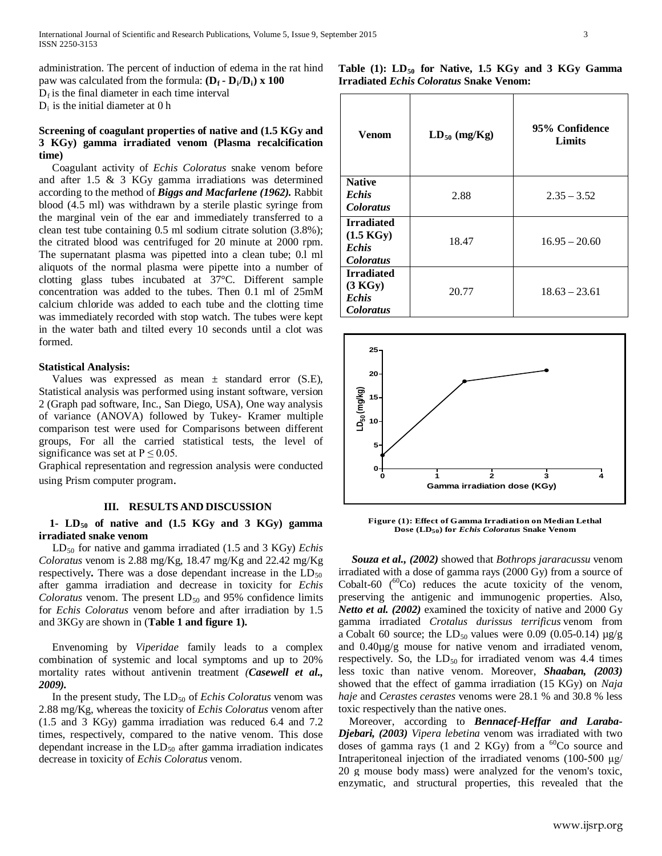administration. The percent of induction of edema in the rat hind paw was calculated from the formula:  $(D_f - D_i/D_i) \times 100$ 

 $D_f$  is the final diameter in each time interval

 $D_i$  is the initial diameter at 0 h

# **Screening of coagulant properties of native and (1.5 KGy and 3 KGy) gamma irradiated venom (Plasma recalcification time)**

 Coagulant activity of *Echis Coloratus* snake venom before and after 1.5 & 3 KGy gamma irradiations was determined according to the method of *Biggs and Macfarlene (1962).* Rabbit blood (4.5 ml) was withdrawn by a sterile plastic syringe from the marginal vein of the ear and immediately transferred to a clean test tube containing 0.5 ml sodium citrate solution (3.8%); the citrated blood was centrifuged for 20 minute at 2000 rpm. The supernatant plasma was pipetted into a clean tube; 0.l ml aliquots of the normal plasma were pipette into a number of clotting glass tubes incubated at 37°C. Different sample concentration was added to the tubes. Then 0.1 ml of 25mM calcium chloride was added to each tube and the clotting time was immediately recorded with stop watch. The tubes were kept in the water bath and tilted every 10 seconds until a clot was formed.

## **Statistical Analysis:**

Values was expressed as mean  $\pm$  standard error (S.E), Statistical analysis was performed using instant software, version 2 (Graph pad software, Inc., San Diego, USA), One way analysis of variance (ANOVA) followed by Tukey- Kramer multiple comparison test were used for Comparisons between different groups, For all the carried statistical tests, the level of significance was set at  $P \le 0.05$ .

Graphical representation and regression analysis were conducted using Prism computer program.

## **III. RESULTS AND DISCUSSION**

# 1-  $LD_{50}$  of native and  $(1.5 \text{ KGy and } 3 \text{ KGy})$  gamma **irradiated snake venom**

 LD50 for native and gamma irradiated (1.5 and 3 KGy) *Echis Coloratus* venom is 2.88 mg/Kg, 18.47 mg/Kg and 22.42 mg/Kg respectively. There was a dose dependant increase in the  $LD_{50}$ after gamma irradiation and decrease in toxicity for *Echis Coloratus* venom. The present  $LD_{50}$  and 95% confidence limits for *Echis Coloratus* venom before and after irradiation by 1.5 and 3KGy are shown in (**Table 1 and figure 1).**

 Envenoming by *Viperidae* family leads to a complex combination of systemic and local symptoms and up to 20% mortality rates without antivenin treatment *([Casewell](http://www.sciencedirect.com/science/article/pii/S1319562X12000095#b0070) et al., [2009\)](http://www.sciencedirect.com/science/article/pii/S1319562X12000095#b0070).*

In the present study, The LD<sub>50</sub> of *Echis Coloratus* venom was 2.88 mg/Kg, whereas the toxicity of *Echis Coloratus* venom after (1.5 and 3 KGy) gamma irradiation was reduced 6.4 and 7.2 times, respectively, compared to the native venom. This dose dependant increase in the  $LD_{50}$  after gamma irradiation indicates decrease in toxicity of *Echis Coloratus* venom.

Table (1): LD<sub>50</sub> for Native, 1.5 KGy and 3 KGy Gamma **Irradiated** *Echis Coloratus* **Snake Venom:**

| Venom                                                                        | $LD_{50}$ (mg/Kg) | 95% Confidence<br><b>Limits</b> |  |  |  |
|------------------------------------------------------------------------------|-------------------|---------------------------------|--|--|--|
| <b>Native</b><br><b>Echis</b><br><b>Coloratus</b>                            | 2.88              | $2.35 - 3.52$                   |  |  |  |
| <b>Irradiated</b><br>$(1.5 \text{ KGy})$<br><b>Echis</b><br><b>Coloratus</b> | 18.47             | $16.95 - 20.60$                 |  |  |  |
| <b>Irradiated</b><br>(3 KGy)<br><b>Echis</b><br><b>Coloratus</b>             | 20.77             | $18.63 - 23.61$                 |  |  |  |



**Figure (1): Effect of Gamma Irradiation on Median Lethal Dose (LD50) for** *Echis Coloratus* **Snake Venom**

 *Souza et al., (2002)* showed that *Bothrops jararacussu* venom irradiated with a dose of gamma rays (2000 Gy) from a source of Cobalt-60  $(^{60}Co)$  reduces the acute toxicity of the venom, preserving the antigenic and immunogenic properties. Also, *Netto et al. (2002)* examined the toxicity of native and 2000 Gy gamma irradiated *Crotalus durissus terrificus* venom from a Cobalt 60 source; the LD<sub>50</sub> values were 0.09 (0.05-0.14)  $\mu$ g/g and 0.40µg/g mouse for native venom and irradiated venom, respectively. So, the  $LD_{50}$  for irradiated venom was 4.4 times less toxic than native venom. Moreover, *Shaaban, (2003)*  showed that the effect of gamma irradiation (15 KGy) on *Naja haje* and *Cerastes cerastes* venoms were 28.1 % and 30.8 % less toxic respectively than the native ones.

 Moreover, according to *Bennacef-Heffar and Laraba-Djebari, (2003) Vipera lebetina* venom was irradiated with two doses of gamma rays (1 and 2 KGy) from a  ${}^{60}Co$  source and Intraperitoneal injection of the irradiated venoms (100-500 μg/ 20 g mouse body mass) were analyzed for the venom's toxic, enzymatic, and structural properties, this revealed that the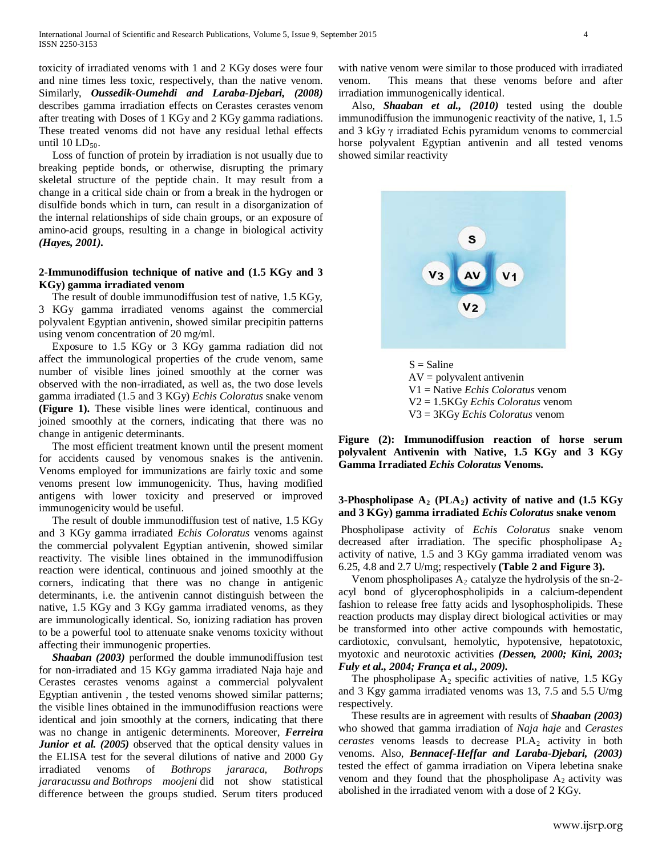toxicity of irradiated venoms with 1 and 2 KGy doses were four and nine times less toxic, respectively, than the native venom. Similarly, *Oussedik-Oumehdi and Laraba-Djebari, (2008)* describes gamma irradiation effects on Cerastes cerastes venom after treating with Doses of 1 KGy and 2 KGy gamma radiations. These treated venoms did not have any residual lethal effects until  $10$  LD<sub>50</sub>.

 Loss of function of protein by irradiation is not usually due to breaking peptide bonds, or otherwise, disrupting the primary skeletal structure of the peptide chain. It may result from a change in a critical side chain or from a break in the hydrogen or disulfide bonds which in turn, can result in a disorganization of the internal relationships of side chain groups, or an exposure of amino-acid groups, resulting in a change in biological activity *(Hayes, 2001).*

## **2-Immunodiffusion technique of native and (1.5 KGy and 3 KGy) gamma irradiated venom**

 The result of double immunodiffusion test of native, 1.5 KGy, 3 KGy gamma irradiated venoms against the commercial polyvalent Egyptian antivenin, showed similar precipitin patterns using venom concentration of 20 mg/ml.

 Exposure to 1.5 KGy or 3 KGy gamma radiation did not affect the immunological properties of the crude venom, same number of visible lines joined smoothly at the corner was observed with the non-irradiated, as well as, the two dose levels gamma irradiated (1.5 and 3 KGy) *Echis Coloratus* snake venom **(Figure 1).** These visible lines were identical, continuous and joined smoothly at the corners, indicating that there was no change in antigenic determinants.

 The most efficient treatment known until the present moment for accidents caused by venomous snakes is the antivenin. Venoms employed for immunizations are fairly toxic and some venoms present low immunogenicity. Thus, having modified antigens with lower toxicity and preserved or improved immunogenicity would be useful.

 The result of double immunodiffusion test of native, 1.5 KGy and 3 KGy gamma irradiated *Echis Coloratus* venoms against the commercial polyvalent Egyptian antivenin, showed similar reactivity. The visible lines obtained in the immunodiffusion reaction were identical, continuous and joined smoothly at the corners, indicating that there was no change in antigenic determinants, i.e. the antivenin cannot distinguish between the native, 1.5 KGy and 3 KGy gamma irradiated venoms, as they are immunologically identical. So, ionizing radiation has proven to be a powerful tool to attenuate snake venoms toxicity without affecting their immunogenic properties.

 *Shaaban (2003)* performed the double immunodiffusion test for non-irradiated and 15 KGy gamma irradiated Naja haje and Cerastes cerastes venoms against a commercial polyvalent Egyptian antivenin , the tested venoms showed similar patterns; the visible lines obtained in the immunodiffusion reactions were identical and join smoothly at the corners, indicating that there was no change in antigenic determinents. Moreover, *Ferreira Junior et al.* (2005) observed that the optical density values in the ELISA test for the several dilutions of native and 2000 Gy irradiated venoms of *Bothrops jararaca, Bothrops jararacussu and Bothrops moojeni* did not show statistical difference between the groups studied. Serum titers produced

with native venom were similar to those produced with irradiated venom. This means that these venoms before and after irradiation immunogenically identical.

Also, *Shaaban et al., (2010)* tested using the double immunodiffusion the immunogenic reactivity of the native, 1, 1.5 and 3 kGy  $\gamma$  irradiated Echis pyramidum venoms to commercial horse polyvalent Egyptian antivenin and all tested venoms showed similar reactivity



 $AV = polyvalent$  antivenin V1 = Native *Echis Coloratus* venom V2 = 1.5KGy *Echis Coloratus* venom V3 = 3KGy *Echis Coloratus* venom

**Figure (2): Immunodiffusion reaction of horse serum polyvalent Antivenin with Native, 1.5 KGy and 3 KGy Gamma Irradiated** *Echis Coloratus* **Venoms.**

## **3-Phospholipase**  $A_2$  **(PLA<sub>2</sub>) activity of native and (1.5 KGy) and 3 KGy) gamma irradiated** *Echis Coloratus* **snake venom**

Phospholipase activity of *Echis Coloratus* snake venom decreased after irradiation. The specific phospholipase  $A_2$ activity of native, 1.5 and 3 KGy gamma irradiated venom was 6.25, 4.8 and 2.7 U/mg; respectively **(Table 2 and Figure 3).**

Venom phospholipases  $A_2$  catalyze the hydrolysis of the sn-2acyl bond of glycerophospholipids in a calcium-dependent fashion to release free fatty acids and lysophospholipids. These reaction products may display direct biological activities or may be transformed into other active compounds with hemostatic, cardiotoxic, convulsant, hemolytic, hypotensive, hepatotoxic, myotoxic and neurotoxic activities *(Dessen, 2000; Kini, 2003; Fuly et al., 2004; França et al., 2009).*

The phospholipase  $A_2$  specific activities of native, 1.5 KGy and 3 Kgy gamma irradiated venoms was 13, 7.5 and 5.5 U/mg respectively.

 These results are in agreement with results of *Shaaban (2003)*  who showed that gamma irradiation of *Naja haje* and *Cerastes cerastes* venoms leasds to decrease PLA<sub>2</sub> activity in both venoms. Also, *Bennacef-Heffar and Laraba-Djebari, (2003)* tested the effect of gamma irradiation on Vipera lebetina snake venom and they found that the phospholipase  $A_2$  activity was abolished in the irradiated venom with a dose of 2 KGy.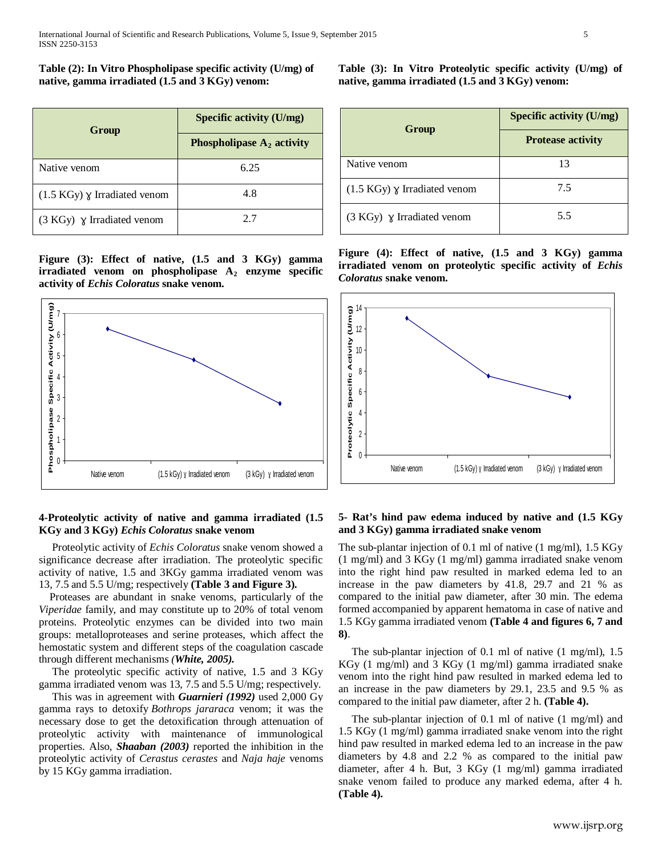**Table (2): In Vitro Phospholipase specific activity (U/mg) of native, gamma irradiated (1.5 and 3 KGy) venom:**

| Group                                  | <b>Specific activity (U/mg)</b> |  |  |  |
|----------------------------------------|---------------------------------|--|--|--|
|                                        | Phospholipase $A_2$ activity    |  |  |  |
| Native venom                           | 6.25                            |  |  |  |
| $(1.5 \text{ KGy})$ Y Irradiated venom | 4.8                             |  |  |  |
| $(3 K Gy)$ $\gamma$ Irradiated venom   | 27                              |  |  |  |

**Figure (3): Effect of native, (1.5 and 3 KGy) gamma irradiated venom on phospholipase A<sub>2</sub> enzyme specific activity of** *Echis Coloratus* **snake venom.**



# **4-Proteolytic activity of native and gamma irradiated (1.5 KGy and 3 KGy)** *Echis Coloratus* **snake venom**

 Proteolytic activity of *Echis Coloratus* snake venom showed a significance decrease after irradiation. The proteolytic specific activity of native, 1.5 and 3KGy gamma irradiated venom was 13, 7.5 and 5.5 U/mg; respectively **(Table 3 and Figure 3).**

Proteases are abundant in snake venoms, particularly of the *Viperidae* family, and may constitute up to 20% of total venom proteins. Proteolytic enzymes can be divided into two main groups: metalloproteases and serine proteases, which affect the hemostatic system and different steps of the coagulation cascade through different mechanisms *(White, 2005).*

 The proteolytic specific activity of native, 1.5 and 3 KGy gamma irradiated venom was 13, 7.5 and 5.5 U/mg; respectively.

 This was in agreement with *Guarnieri (1992)* used 2,000 Gy gamma rays to detoxify *Bothrops jararaca* venom; it was the necessary dose to get the detoxification through attenuation of proteolytic activity with maintenance of immunological properties. Also, *Shaaban (2003)* reported the inhibition in the proteolytic activity of *Cerastus cerastes* and *Naja haje* venoms by 15 KGy gamma irradiation.

**Table (3): In Vitro Proteolytic specific activity (U/mg) of native, gamma irradiated (1.5 and 3 KGy) venom:**

|                                        | <b>Specific activity (U/mg)</b><br><b>Protease activity</b> |  |  |  |
|----------------------------------------|-------------------------------------------------------------|--|--|--|
| Group                                  |                                                             |  |  |  |
| Native venom                           | 13                                                          |  |  |  |
| $(1.5 \text{ KGy})$ Y Irradiated venom | 7.5                                                         |  |  |  |
| $(3 KGy)$ $\gamma$ Irradiated venom    | 5.5                                                         |  |  |  |

**Figure (4): Effect of native, (1.5 and 3 KGy) gamma irradiated venom on proteolytic specific activity of** *Echis Coloratus* **snake venom.**



## **5- Rat's hind paw edema induced by native and (1.5 KGy and 3 KGy) gamma irradiated snake venom**

The sub-plantar injection of 0.1 ml of native (1 mg/ml), 1.5 KGy (1 mg/ml) and 3 KGy (1 mg/ml) gamma irradiated snake venom into the right hind paw resulted in marked edema led to an increase in the paw diameters by 41.8, 29.7 and 21 % as compared to the initial paw diameter, after 30 min. The edema formed accompanied by apparent hematoma in case of native and 1.5 KGy gamma irradiated venom **(Table 4 and figures 6, 7 and 8)**.

The sub-plantar injection of 0.1 ml of native  $(1 \text{ mg/ml})$ , 1.5 KGy (1 mg/ml) and 3 KGy (1 mg/ml) gamma irradiated snake venom into the right hind paw resulted in marked edema led to an increase in the paw diameters by 29.1, 23.5 and 9.5 % as compared to the initial paw diameter, after 2 h. **(Table 4).**

 The sub-plantar injection of 0.1 ml of native (1 mg/ml) and 1.5 KGy (1 mg/ml) gamma irradiated snake venom into the right hind paw resulted in marked edema led to an increase in the paw diameters by 4.8 and 2.2 % as compared to the initial paw diameter, after 4 h. But, 3 KGy (1 mg/ml) gamma irradiated snake venom failed to produce any marked edema, after 4 h. **(Table 4).**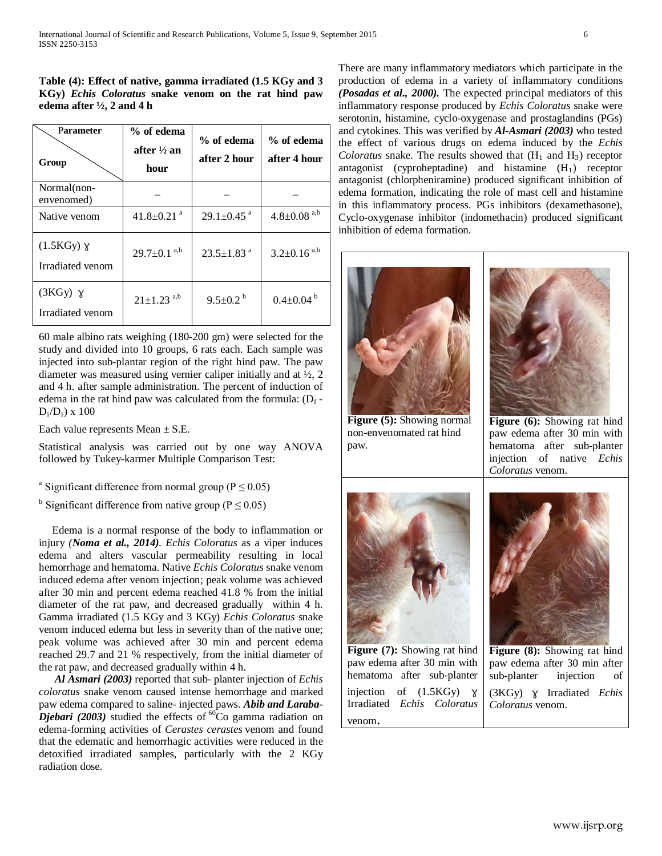|  | Table (4): Effect of native, gamma irradiated (1.5 KGy and 3) |  |  |  |  |
|--|---------------------------------------------------------------|--|--|--|--|
|  | KGy) <i>Echis Coloratus</i> snake venom on the rat hind paw   |  |  |  |  |
|  | edema after $\frac{1}{2}$ , 2 and 4 h                         |  |  |  |  |

| Parameter<br>Group                    | % of edema<br>after $\frac{1}{2}$ an<br>hour | % of edema<br>after 2 hour   | % of edema<br>after 4 hour    |  |
|---------------------------------------|----------------------------------------------|------------------------------|-------------------------------|--|
| Normal (non-<br>envenomed)            |                                              |                              |                               |  |
| Native venom                          | $41.8 \pm 0.21$ <sup>a</sup>                 | $29.1 \pm 0.45$ <sup>a</sup> | $4.8 \pm 0.08$ <sup>a,b</sup> |  |
| $(1.5KGy)$ $\chi$<br>Irradiated venom | $29.7 \pm 0.1^{a,b}$                         | $23.5 \pm 1.83$ <sup>a</sup> | $3.2 \pm 0.16^{a,b}$          |  |
| $(3KGy)$ $\chi$<br>Irradiated venom   | $21 \pm 1.23$ <sup>a,b</sup>                 | $9.5 \pm 0.2^{\circ}$        | $0.4 \pm 0.04^{\mathrm{b}}$   |  |

60 male albino rats weighing (180-200 gm) were selected for the study and divided into 10 groups, 6 rats each. Each sample was injected into sub-plantar region of the right hind paw. The paw diameter was measured using vernier caliper initially and at ½, 2 and 4 h. after sample administration. The percent of induction of edema in the rat hind paw was calculated from the formula:  $(D_f D_i/D_i$ ) x 100

Each value represents Mean  $\pm$  S.E.

Statistical analysis was carried out by one way ANOVA followed by Tukey-karmer Multiple Comparison Test:

- <sup>a</sup> Significant difference from normal group ( $P \le 0.05$ )
- <sup>b</sup> Significant difference from native group ( $P \le 0.05$ )

 Edema is a normal response of the body to inflammation or injury *(Noma et al., 2014)*. *Echis Coloratus* as a viper induces edema and alters vascular permeability resulting in local hemorrhage and hematoma. Native *Echis Coloratus* snake venom induced edema after venom injection; peak volume was achieved after 30 min and percent edema reached 41.8 % from the initial diameter of the rat paw, and decreased gradually within 4 h. Gamma irradiated (1.5 KGy and 3 KGy) *Echis Coloratus* snake venom induced edema but less in severity than of the native one; peak volume was achieved after 30 min and percent edema reached 29.7 and 21 % respectively, from the initial diameter of the rat paw, and decreased gradually within 4 h.

 *Al Asmari (2003)* reported that sub- planter injection of *Echis coloratus* snake venom caused intense hemorrhage and marked paw edema compared to saline- injected paws. *Abib and Laraba-Djebari (2003)* studied the effects of  ${}^{60}$ Co gamma radiation on edema-forming activities of *Cerastes cerastes* venom and found that the edematic and hemorrhagic activities were reduced in the detoxified irradiated samples, particularly with the 2 KGy radiation dose.

There are many inflammatory mediators which participate in the production of edema in a variety of inflammatory conditions *(Posadas et al., 2000).* The expected principal mediators of this inflammatory response produced by *Echis Coloratus* snake were serotonin, histamine, cyclo-oxygenase and prostaglandins (PGs) and cytokines. This was verified by *Al-Asmari (2003)* who tested the effect of various drugs on edema induced by the *Echis Coloratus* snake. The results showed that  $(H_1 \text{ and } H_3)$  receptor antagonist (cyproheptadine) and histamine  $(H_1)$  receptor antagonist (chlorpheniramine) produced significant inhibition of edema formation, indicating the role of mast cell and histamine in this inflammatory process. PGs inhibitors (dexamethasone), Cyclo-oxygenase inhibitor (indomethacin) produced significant inhibition of edema formation.

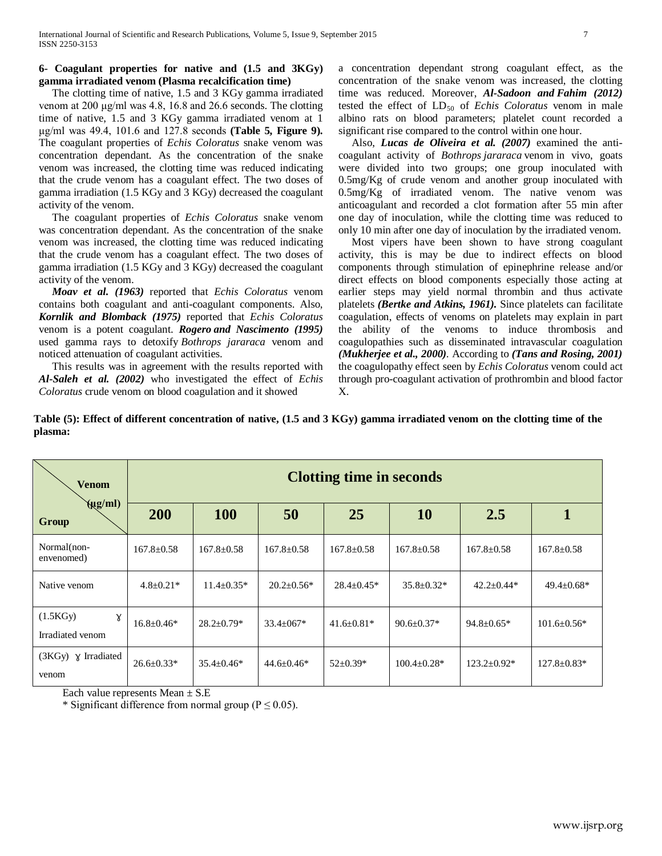## **6- Coagulant properties for native and (1.5 and 3KGy) gamma irradiated venom (Plasma recalcification time)**

 The clotting time of native, 1.5 and 3 KGy gamma irradiated venom at 200 μg/ml was 4.8, 16.8 and 26.6 seconds. The clotting time of native, 1.5 and 3 KGy gamma irradiated venom at 1 μg/ml was 49.4, 101.6 and 127.8 seconds **(Table 5, Figure 9).** The coagulant properties of *Echis Coloratus* snake venom was concentration dependant. As the concentration of the snake venom was increased, the clotting time was reduced indicating that the crude venom has a coagulant effect. The two doses of gamma irradiation (1.5 KGy and 3 KGy) decreased the coagulant activity of the venom.

 The coagulant properties of *Echis Coloratus* snake venom was concentration dependant. As the concentration of the snake venom was increased, the clotting time was reduced indicating that the crude venom has a coagulant effect. The two doses of gamma irradiation (1.5 KGy and 3 KGy) decreased the coagulant activity of the venom.

 *Moav et al. (1963)* reported that *Echis Coloratus* venom contains both coagulant and anti-coagulant components. Also, *Kornlik and Blomback (1975)* reported that *Echis Coloratus* venom is a potent coagulant. *Rogero and Nascimento (1995)* used gamma rays to detoxify *Bothrops jararaca* venom and noticed attenuation of coagulant activities.

 This results was in agreement with the results reported with *Al-Saleh et al. (2002)* who investigated the effect of *Echis Coloratus* crude venom on blood coagulation and it showed

a concentration dependant strong coagulant effect, as the concentration of the snake venom was increased, the clotting time was reduced. Moreover, *[Al-Sadoon](http://www.ncbi.nlm.nih.gov/pubmed/?term=Al-Sadoon%20MK%5Bauth%5D) and [Fahim](http://www.ncbi.nlm.nih.gov/pubmed/?term=Fahim%20A%5Bauth%5D) (2012)* tested the effect of LD<sub>50</sub> of *Echis Coloratus* venom in male albino rats on blood parameters; platelet count recorded a significant rise compared to the control within one hour.

 Also, *Lucas de Oliveira et al. (2007)* examined the anticoagulant activity of *Bothrops jararaca* venom in vivo, goats were divided into two groups; one group inoculated with 0.5mg/Kg of crude venom and another group inoculated with 0.5mg/Kg of irradiated venom. The native venom was anticoagulant and recorded a clot formation after 55 min after one day of inoculation, while the clotting time was reduced to only 10 min after one day of inoculation by the irradiated venom.

 Most vipers have been shown to have strong coagulant activity, this is may be due to indirect effects on blood components through stimulation of epinephrine release and/or direct effects on blood components especially those acting at earlier steps may yield normal thrombin and thus activate platelets *[\(Bertke](http://www.sciencedirect.com/science/article/pii/S1319562X12000095#b0060) and Atkins, 1961).* Since platelets can facilitate coagulation, effects of venoms on platelets may explain in part the ability of the venoms to induce thrombosis and coagulopathies such as disseminated intravascular coagulation *[\(Mukherjee](http://www.sciencedirect.com/science/article/pii/S1319562X12000095#b0205) et al., 2000).* According to *(Tans and [Rosing,](http://www.sciencedirect.com/science/article/pii/S1319562X12000095#b0250) 2001)* the coagulopathy effect seen by *Echis Coloratus* venom could act through pro-coagulant activation of prothrombin and blood factor X.

**Table (5): Effect of different concentration of native, (1.5 and 3 KGy) gamma irradiated venom on the clotting time of the plasma:**

| <b>Venom</b>                               | <b>Clotting time in seconds</b> |                  |                  |                  |                   |                    |                   |  |
|--------------------------------------------|---------------------------------|------------------|------------------|------------------|-------------------|--------------------|-------------------|--|
| $\left(\mu g/ml\right)$<br>Group           | 200                             | 100              | 50               | 25               | 10                | 2.5                |                   |  |
| Normal(non-<br>envenomed)                  | $167.8 \pm 0.58$                | $167.8 \pm 0.58$ | $167.8 \pm 0.58$ | $167.8 \pm 0.58$ | $167.8 \pm 0.58$  | $167.8 \pm 0.58$   | $167.8 \pm 0.58$  |  |
| Native venom                               | $4.8 \pm 0.21*$                 | $11.4 \pm 0.35*$ | $20.2 \pm 0.56*$ | $28.4 \pm 0.45*$ | $35.8 \pm 0.32*$  | $42.2 \pm 0.44*$   | $49.4 \pm 0.68*$  |  |
| (1.5KGy)<br>$\gamma$<br>Irradiated venom   | $16.8 + 0.46*$                  | $28.2 \pm 0.79*$ | $33.4 \pm 067*$  | $41.6 \pm 0.81*$ | $90.6 \pm 0.37*$  | $94.8 \pm 0.65*$   | $101.6 \pm 0.56*$ |  |
| $(3KGy) \times \text{Irradiated}$<br>venom | $26.6 \pm 0.33*$                | $35.4 \pm 0.46*$ | $44.6 \pm 0.46*$ | $52 \pm 0.39*$   | $100.4 \pm 0.28*$ | $123.2 \pm 0.92^*$ | $127.8 \pm 0.83*$ |  |

Each value represents Mean  $\pm$  S.E

\* Significant difference from normal group ( $P \le 0.05$ ).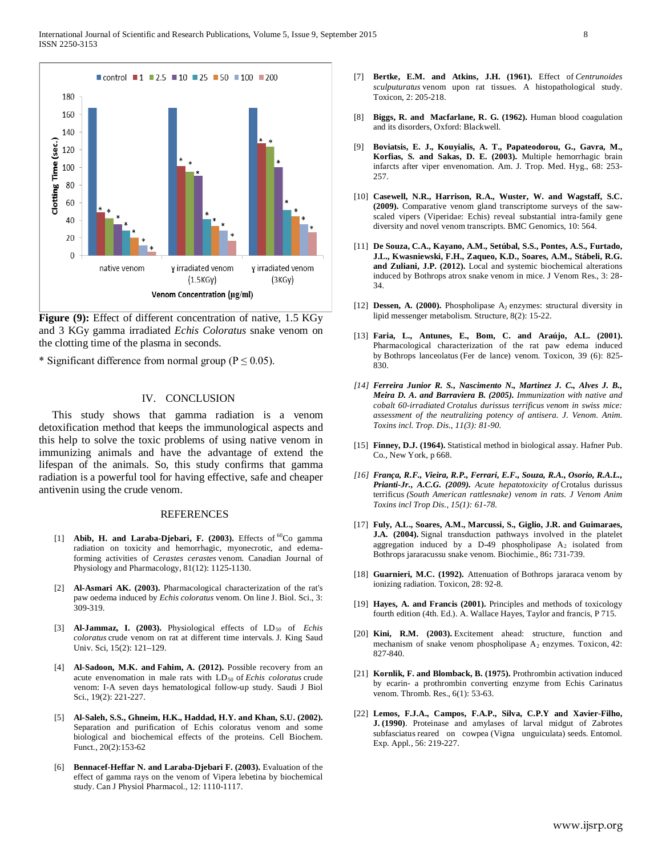

Figure (9): Effect of different concentration of native, 1.5 KGy and 3 KGy gamma irradiated *Echis Coloratus* snake venom on the clotting time of the plasma in seconds.

\* Significant difference from normal group ( $P \le 0.05$ ).

## IV. CONCLUSION

 This study shows that gamma radiation is a venom detoxification method that keeps the immunological aspects and this help to solve the toxic problems of using native venom in immunizing animals and have the advantage of extend the lifespan of the animals. So, this study confirms that gamma radiation is a powerful tool for having effective, safe and cheaper antivenin using the crude venom.

#### REFERENCES

- [1] **Abib, H. and Laraba-Djebari, F. (2003).** Effects of <sup>60</sup>Co gamma radiation on toxicity and hemorrhagic, myonecrotic, and edemaforming activities of *Cerastes cerastes* venom. Canadian Journal of Physiology and Pharmacology, 81(12): 1125-1130.
- [2] **Al-Asmari AK. (2003).** Pharmacological characterization of the rat's paw oedema induced by *Echis coloratus* venom. On line J. Biol. Sci., 3: 309-319.
- [3] **Al-Jammaz, I. (2003).** Physiological effects of LD<sub>50</sub> of *Echis coloratus* crude venom on rat at different time intervals. J. King Saud Univ. Sci, 15(2): 121–129.
- [4] **[Al-Sadoon,](http://www.ncbi.nlm.nih.gov/pubmed/?term=Al-Sadoon%20MK%5Bauth%5D) M.K. and [Fahim,](http://www.ncbi.nlm.nih.gov/pubmed/?term=Fahim%20A%5Bauth%5D) A. (2012).** Possible recovery from an acute envenomation in male rats with LD<sub>50</sub> of *Echis coloratus* crude venom: I-A seven days hematological follow-up study. Saudi J Biol Sci., 19(2): 221-227.
- [5] **Al-Saleh, S.S., Ghneim, H.K., Haddad, H.Y. and Khan, S.U. (2002).** Separation and purification of Echis coloratus venom and some biological and biochemical effects of the proteins. Cell Biochem. Funct., 20(2):153-62
- [6] **Bennacef-Heffar N. and Laraba-Djebari F. (2003).** [Evaluation of the](http://www.ncbi.nlm.nih.gov/pubmed/14719029)  [effect of gamma rays on the venom of Vipera lebetina by biochemical](http://www.ncbi.nlm.nih.gov/pubmed/14719029)  [study.](http://www.ncbi.nlm.nih.gov/pubmed/14719029) Can J Physiol Pharmacol., 12: 1110-1117.
- [7] **Bertke, E.M. and Atkins, J.H. (1961).** Effect of *Centrunoides sculputuratus* venom upon rat tissues. A histopathological study. Toxicon, 2: 205-218.
- [8] **Biggs, R. and Macfarlane, R. G. (1962).** Human blood coagulation and its disorders, Oxford: Blackwell.
- [9] **Boviatsis, E. J., Kouyialis, A. T., Papateodorou, G., Gavra, M., Korfias, S. and Sakas, D. E. (2003).** Multiple hemorrhagic brain infarcts after viper envenomation. Am. J. Trop. Med. Hyg., 68: 253- 257.
- [10] **Casewell, N.R., Harrison, R.A., Wuster, W. and Wagstaff, S.C. (2009).** Comparative venom gland transcriptome surveys of the sawscaled vipers (Viperidae: Echis) reveal substantial intra-family gene diversity and novel venom transcripts. BMC Genomics, 10: 564.
- [11] **De Souza, C.A., Kayano, A.M., Setúbal, S.S., Pontes, A.S., Furtado, J.L., Kwasniewski, F.H., Zaqueo, K.D., Soares, A.M., Stábeli, R.G. and Zuliani, J.P. (2012).** [Local and systemic biochemical alterations](http://www.ncbi.nlm.nih.gov/pubmed/23487552)  [induced by Bothrops atrox](http://www.ncbi.nlm.nih.gov/pubmed/23487552) snake venom in mice. J Venom Res., 3: 28- 34.
- [12] **Dessen, A. (2000).** Phospholipase A<sub>2</sub> enzymes: structural diversity in lipid messenger metabolism. Structure, 8(2): 15-22.
- [13] **Faria, L., Antunes, E., Bom, C. and Araújo, A.L. (2001).** Pharmacological characterization of the rat paw edema induced by Bothrops lanceolatus (Fer de lance) venom. Toxicon, 39 (6): 825- 830.
- *[14] Ferreira Junior R. S., Nascimento N., Martinez J. C., Alves J. B., Meira D. A. and Barraviera B. (2005). Immunization with native and cobalt 60-irradiated Crotalus durissus terrificus venom in swiss mice: assessment of the neutralizing potency of antisera. J. Venom. Anim. Toxins incl. Trop. Dis., 11(3): 81-90.*
- [15] **Finney, D.J. (1964).** Statistical method in biological assay. Hafner Pub. Co., New York, p 668.
- *[16] França, R.F., Vieira, R.P., Ferrari, E.F., Souza, R.A., Osorio, R.A.L., Prianti-Jr., A.C.G. (2009). Acute hepatotoxicity of* Crotalus durissus terrificus *(South American rattlesnake) venom in rats. J Venom Anim Toxins incl Trop Dis., 15(1): 61-78.*
- [17] **Fuly, A.L., Soares, A.M., Marcussi, S., Giglio, J.R. and Guimaraes, J.A. (2004).** Signal transduction pathways involved in the platelet aggregation induced by a D-49 phospholipase  $A_2$  isolated from Bothrops jararacussu snake venom. Biochimie.*,* 86**:** 731-739.
- [18] **Guarnieri, M.C. (1992).** Attenuation of Bothrops jararaca venom by ionizing radiation. Toxicon, 28: 92-8.
- [19] **Hayes, A. and Francis (2001).** Principles and methods of toxicology fourth edition (4th. Ed.). A. Wallace Hayes, Taylor and francis, P 715.
- [20] **Kini, R.M. (2003).** Excitement ahead: structure, function and mechanism of snake venom phospholipase  $A_2$  enzymes. Toxicon, 42: 827-840.
- [21] **Kornlik, F. and Blomback, B. (1975).** Prothrombin activation induced by ecarin- a prothrombin converting enzyme from Echis Carinatus venom. Thromb. Res., 6(1): 53-63.
- [22] **Lemos, F.J.A., Campos, F.A.P., Silva, C.P.Y and Xavier-Filho, J. (1990)**. Proteinase and amylases of larval midgut of Zabrotes subfasciatus reared on cowpea (Vigna unguiculata) seeds. Entomol*.*  Exp. Appl., 56: 219-227.